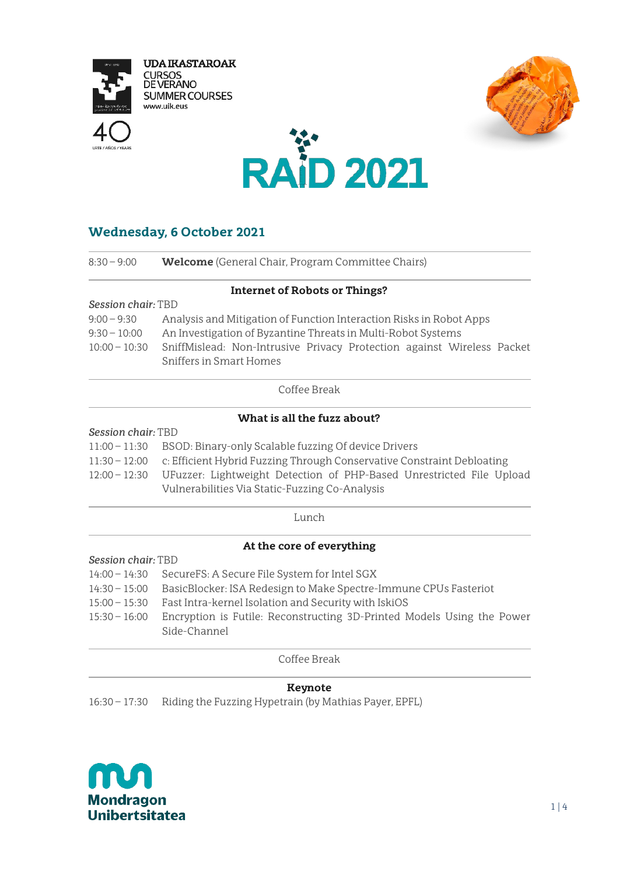

**UDA IKASTAROAK CURSOS<br>DE VERANO SUMMER COURSES** www.uik.eus







# **Wednesday, 6 October 2021**

| $8:30 - 9:00$      | <b>Welcome</b> (General Chair, Program Committee Chairs)               |  |  |
|--------------------|------------------------------------------------------------------------|--|--|
|                    | <b>Internet of Robots or Things?</b>                                   |  |  |
| Session chair: TBD |                                                                        |  |  |
| $9:00 - 9:30$      | Analysis and Mitigation of Function Interaction Risks in Robot Apps    |  |  |
| $9:30 - 10:00$     | An Investigation of Byzantine Threats in Multi-Robot Systems           |  |  |
| $10:00 - 10:30$    | SniffMislead: Non-Intrusive Privacy Protection against Wireless Packet |  |  |
|                    | Sniffers in Smart Homes                                                |  |  |
|                    | $\cap$ . CC. . D. 1                                                    |  |  |

Coffee Break

## **What is all the fuzz about?**

#### *Session chair:* TBD

| 11:00 - 11:30 BSOD: Binary-only Scalable fuzzing Of device Drivers                   |  |  |
|--------------------------------------------------------------------------------------|--|--|
| 11:30 - 12:00 c: Efficient Hybrid Fuzzing Through Conservative Constraint Debloating |  |  |
| 12:00 - 12:30 UFuzzer: Lightweight Detection of PHP-Based Unrestricted File Upload   |  |  |
| Vulnerabilities Via Static-Fuzzing Co-Analysis                                       |  |  |

Lunch

## **At the core of everything**

- *Session chair:* TBD
- 14:00 14:30 SecureFS: A Secure File System for Intel SGX
- 14:30 15:00 BasicBlocker: ISA Redesign to Make Spectre-Immune CPUs Fasteriot
- 15:00 15:30 Fast Intra-kernel Isolation and Security with IskiOS
- 15:30 16:00 Encryption is Futile: Reconstructing 3D-Printed Models Using the Power Side-Channel

Coffee Break

#### **Keynote**

16:30 – 17:30 Riding the Fuzzing Hypetrain (by Mathias Payer, EPFL)

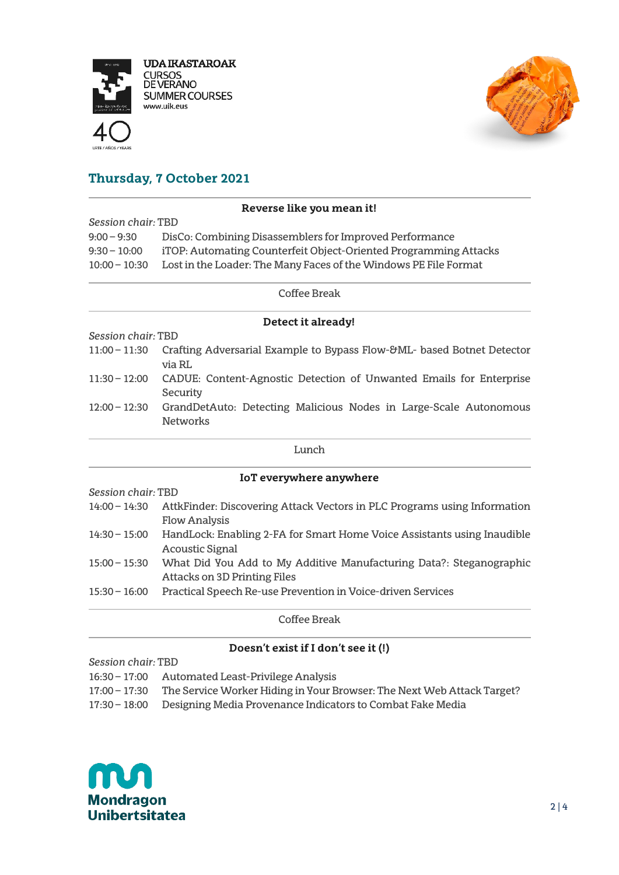

**UDA IKASTAROAK URSOS** DE VERANO **SUMMER COURSES** www.uik.eus





# **Thursday, 7 October 2021**

## **Reverse like you mean it!**

*Session chair:* TBD 9:00 – 9:30 DisCo: Combining Disassemblers for Improved Performance 9:30 – 10:00 iTOP: Automating Counterfeit Object-Oriented Programming Attacks 10:00 – 10:30 Lost in the Loader: The Many Faces of the Windows PE File Format

### Coffee Break

#### **Detect it already!**

*Session chair:* TBD

- 11:00 11:30 Crafting Adversarial Example to Bypass Flow-&ML- based Botnet Detector via RL
- 11:30 12:00 CADUE: Content-Agnostic Detection of Unwanted Emails for Enterprise **Security**
- 12:00 12:30 GrandDetAuto: Detecting Malicious Nodes in Large-Scale Autonomous **Networks**

#### Lunch

#### **IoT everywhere anywhere**

*Session chair:* TBD

- 14:00 14:30 AttkFinder: Discovering Attack Vectors in PLC Programs using Information Flow Analysis 14:30 – 15:00 HandLock: Enabling 2-FA for Smart Home Voice Assistants using Inaudible Acoustic Signal
- 15:00 15:30 What Did You Add to My Additive Manufacturing Data?: Steganographic Attacks on 3D Printing Files
- 15:30 16:00 Practical Speech Re-use Prevention in Voice-driven Services

Coffee Break

## **Doesn't exist if I don't see it (!)**

*Session chair:* TBD

- 16:30 17:00 Automated Least-Privilege Analysis
- 17:00 17:30 The Service Worker Hiding in Your Browser: The Next Web Attack Target?
- 17:30 18:00 Designing Media Provenance Indicators to Combat Fake Media

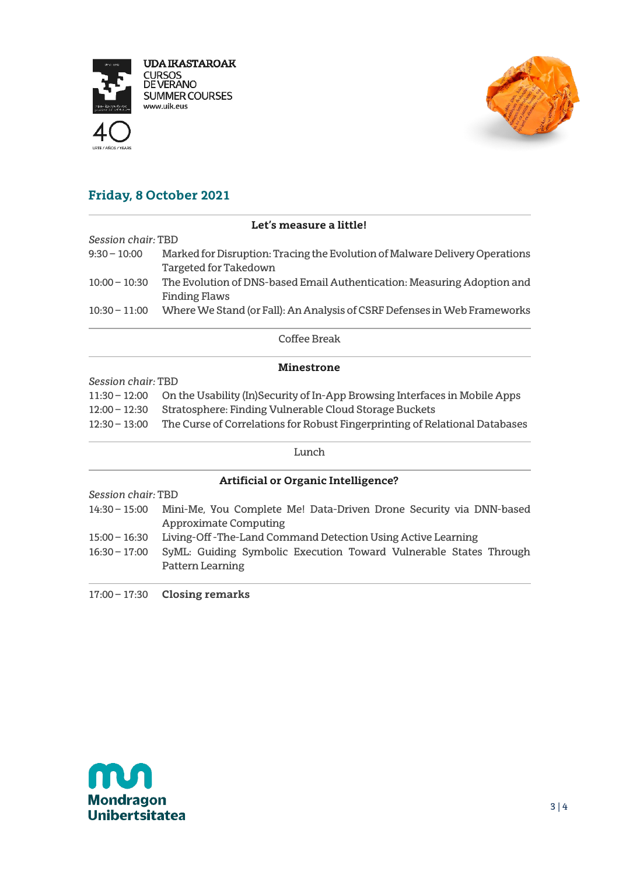

**UDA IKASTAROAK CURSOS<br>DE VERANO SUMMER COURSES** www.uik.eus





# **Friday, 8 October 2021**

| Let's measure a little! |                                                                                                 |  |  |  |
|-------------------------|-------------------------------------------------------------------------------------------------|--|--|--|
| Session chair: TBD      |                                                                                                 |  |  |  |
| $9:30 - 10:00$          | Marked for Disruption: Tracing the Evolution of Malware Delivery Operations                     |  |  |  |
|                         | Targeted for Takedown                                                                           |  |  |  |
| $10:00 - 10:30$         | The Evolution of DNS-based Email Authentication: Measuring Adoption and<br><b>Finding Flaws</b> |  |  |  |
| $10:30 - 11:00$         | Where We Stand (or Fall): An Analysis of CSRF Defenses in Web Frameworks                        |  |  |  |

Coffee Break

### **Minestrone**

*Session chair:* TBD

| 11:30 - 12:00 On the Usability (In)Security of In-App Browsing Interfaces in Mobile Apps |  |
|------------------------------------------------------------------------------------------|--|
|                                                                                          |  |

- 12:00 12:30 Stratosphere: Finding Vulnerable Cloud Storage Buckets
- 12:30 13:00 The Curse of Correlations for Robust Fingerprinting of Relational Databases

#### Lunch

# **Artificial or Organic Intelligence?** *Session chair:* TBD 14:30 – 15:00 Mini-Me, You Complete Me! Data-Driven Drone Security via DNN-based Approximate Computing 15:00 – 16:30 Living-Off -The-Land Command Detection Using Active Learning 16:30 – 17:00 SyML: Guiding Symbolic Execution Toward Vulnerable States Through Pattern Learning

17:00 – 17:30 **Closing remarks**